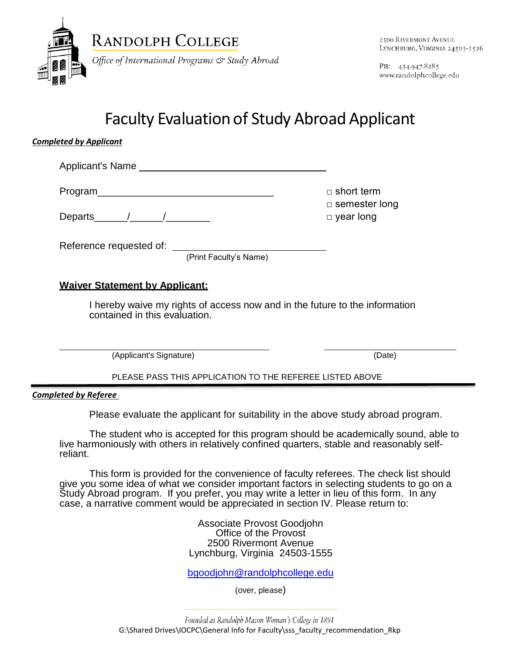

PH: 434.947.8285 www.randolphcollege.edu

# Faculty Evaluation of Study Abroad Applicant

### *Completed by Applicant*

Applicant's Name

Program\_\_\_\_\_\_\_\_\_\_\_\_\_\_\_\_\_\_\_\_\_\_\_\_\_\_\_\_\_\_\_\_ □ short term

Departs\_\_\_\_\_\_/\_\_\_\_\_\_/\_\_\_\_\_\_\_\_ □ year long

Reference requested of:

(Print Faculty's Name)

## **Waiver Statement by Applicant:**

I hereby waive my rights of access now and in the future to the information contained in this evaluation.

(Applicant's Signature) (Date)

□ semester long

PLEASE PASS THIS APPLICATION TO THE REFEREE LISTED ABOVE

*Completed by Referee*

Please evaluate the applicant for suitability in the above study abroad program.

The student who is accepted for this program should be academically sound, able to live harmoniously with others in relatively confined quarters, stable and reasonably selfreliant.

This form is provided for the convenience of faculty referees. The check list should give you some idea of what we consider important factors in selecting students to go on a Study Abroad program. If you prefer, you may write a letter in lieu of this form. In any case, a narrative comment would be appreciated in section IV. Please return to:

> Associate Provost Goodjohn Office of the Provost 2500 Rivermont Avenue Lynchburg, Virginia 24503-1555

> [bgoodjohn@randolphcollege.edu](mailto:bgoodjohn@randolphcollege.edu)

(over, please)